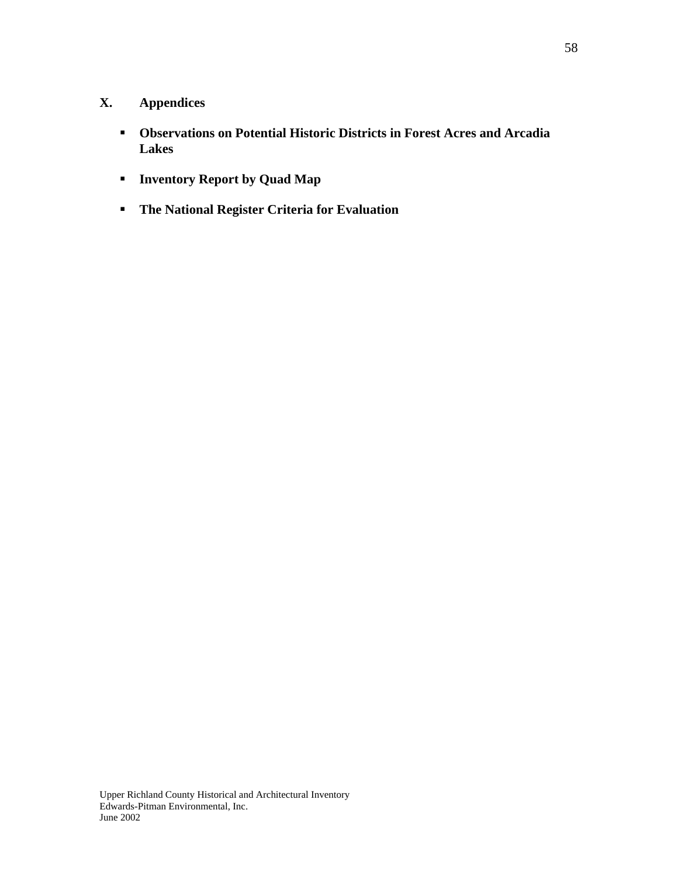# **X. Appendices**

- **Observations on Potential Historic Districts in Forest Acres and Arcadia Lakes**
- **Inventory Report by Quad Map**
- **The National Register Criteria for Evaluation**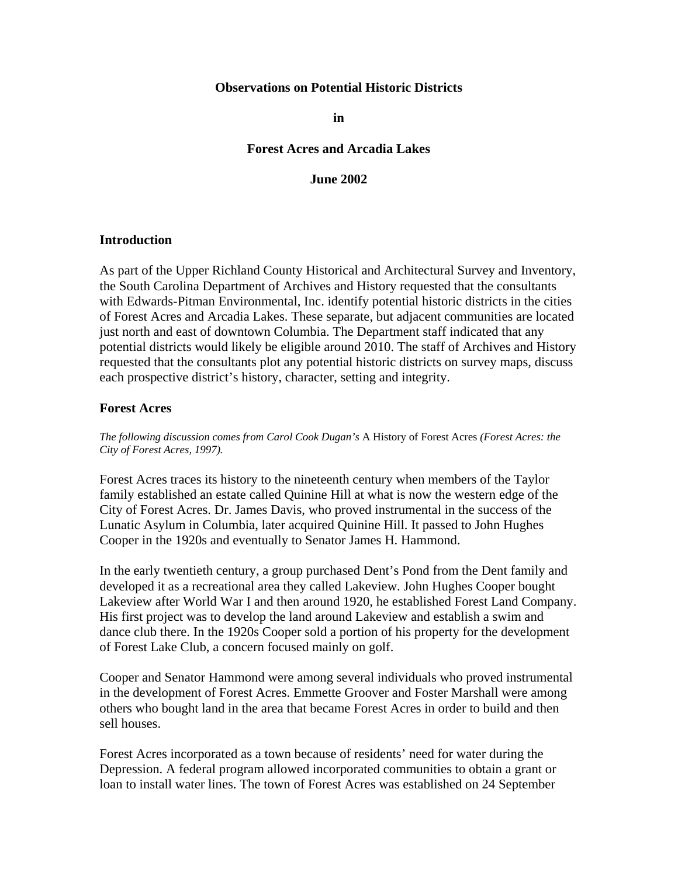#### **Observations on Potential Historic Districts**

**in** 

#### **Forest Acres and Arcadia Lakes**

#### **June 2002**

#### **Introduction**

As part of the Upper Richland County Historical and Architectural Survey and Inventory, the South Carolina Department of Archives and History requested that the consultants with Edwards-Pitman Environmental, Inc. identify potential historic districts in the cities of Forest Acres and Arcadia Lakes. These separate, but adjacent communities are located just north and east of downtown Columbia. The Department staff indicated that any potential districts would likely be eligible around 2010. The staff of Archives and History requested that the consultants plot any potential historic districts on survey maps, discuss each prospective district's history, character, setting and integrity.

#### **Forest Acres**

*The following discussion comes from Carol Cook Dugan's* A History of Forest Acres *(Forest Acres: the City of Forest Acres, 1997).* 

Forest Acres traces its history to the nineteenth century when members of the Taylor family established an estate called Quinine Hill at what is now the western edge of the City of Forest Acres. Dr. James Davis, who proved instrumental in the success of the Lunatic Asylum in Columbia, later acquired Quinine Hill. It passed to John Hughes Cooper in the 1920s and eventually to Senator James H. Hammond.

In the early twentieth century, a group purchased Dent's Pond from the Dent family and developed it as a recreational area they called Lakeview. John Hughes Cooper bought Lakeview after World War I and then around 1920, he established Forest Land Company. His first project was to develop the land around Lakeview and establish a swim and dance club there. In the 1920s Cooper sold a portion of his property for the development of Forest Lake Club, a concern focused mainly on golf.

Cooper and Senator Hammond were among several individuals who proved instrumental in the development of Forest Acres. Emmette Groover and Foster Marshall were among others who bought land in the area that became Forest Acres in order to build and then sell houses.

Forest Acres incorporated as a town because of residents' need for water during the Depression. A federal program allowed incorporated communities to obtain a grant or loan to install water lines. The town of Forest Acres was established on 24 September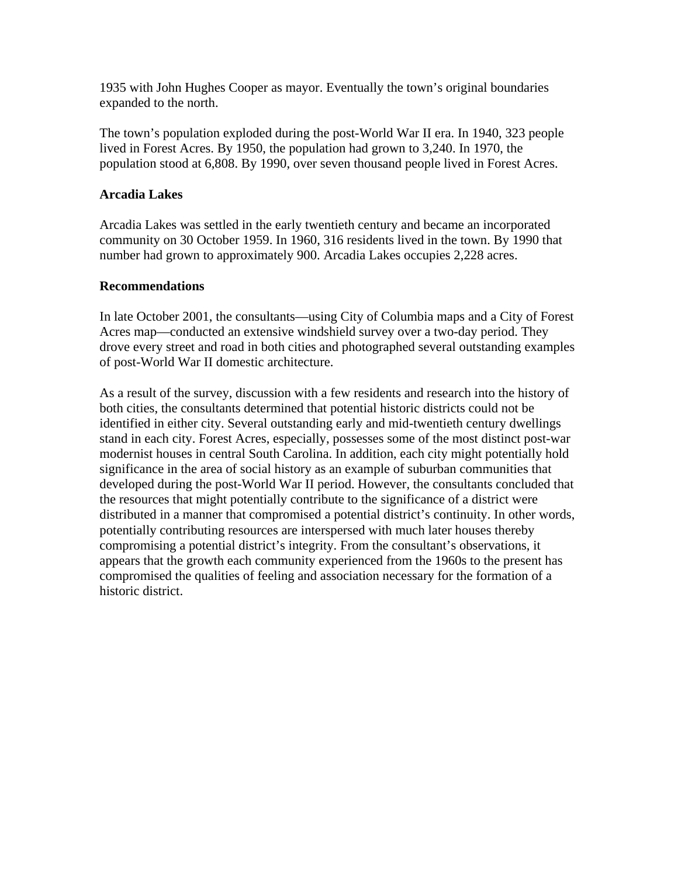1935 with John Hughes Cooper as mayor. Eventually the town's original boundaries expanded to the north.

The town's population exploded during the post-World War II era. In 1940, 323 people lived in Forest Acres. By 1950, the population had grown to 3,240. In 1970, the population stood at 6,808. By 1990, over seven thousand people lived in Forest Acres.

## **Arcadia Lakes**

Arcadia Lakes was settled in the early twentieth century and became an incorporated community on 30 October 1959. In 1960, 316 residents lived in the town. By 1990 that number had grown to approximately 900. Arcadia Lakes occupies 2,228 acres.

### **Recommendations**

In late October 2001, the consultants—using City of Columbia maps and a City of Forest Acres map—conducted an extensive windshield survey over a two-day period. They drove every street and road in both cities and photographed several outstanding examples of post-World War II domestic architecture.

As a result of the survey, discussion with a few residents and research into the history of both cities, the consultants determined that potential historic districts could not be identified in either city. Several outstanding early and mid-twentieth century dwellings stand in each city. Forest Acres, especially, possesses some of the most distinct post-war modernist houses in central South Carolina. In addition, each city might potentially hold significance in the area of social history as an example of suburban communities that developed during the post-World War II period. However, the consultants concluded that the resources that might potentially contribute to the significance of a district were distributed in a manner that compromised a potential district's continuity. In other words, potentially contributing resources are interspersed with much later houses thereby compromising a potential district's integrity. From the consultant's observations, it appears that the growth each community experienced from the 1960s to the present has compromised the qualities of feeling and association necessary for the formation of a historic district.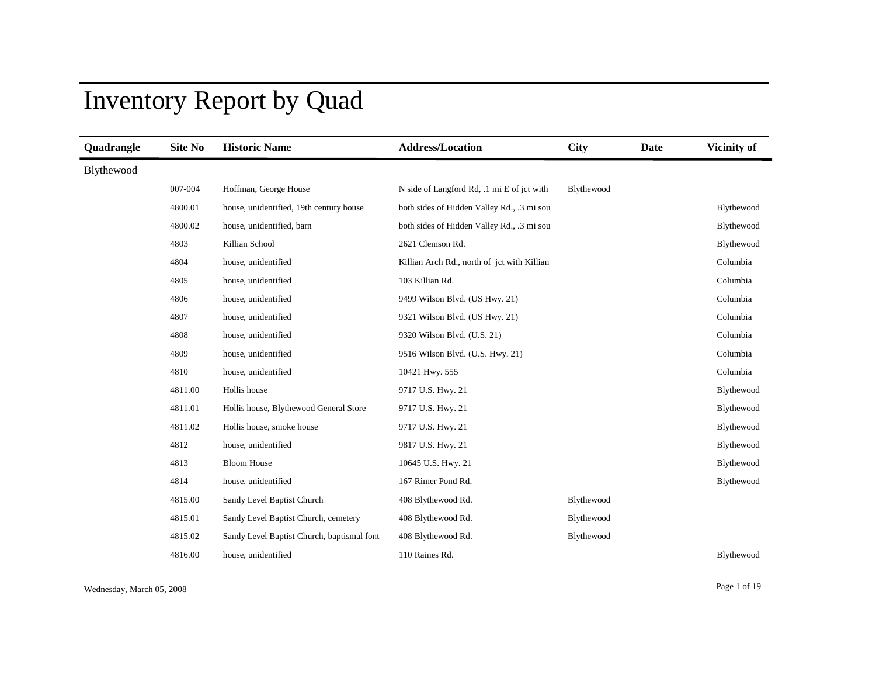# Inventory Report by Quad

| Quadrangle | <b>Site No</b> | <b>Historic Name</b>                       | <b>Address/Location</b>                     | <b>City</b> | <b>Date</b> | Vicinity of |
|------------|----------------|--------------------------------------------|---------------------------------------------|-------------|-------------|-------------|
| Blythewood |                |                                            |                                             |             |             |             |
|            | 007-004        | Hoffman, George House                      | N side of Langford Rd, .1 mi E of jct with  | Blythewood  |             |             |
|            | 4800.01        | house, unidentified, 19th century house    | both sides of Hidden Valley Rd., .3 mi sou  |             |             | Blythewood  |
|            | 4800.02        | house, unidentified, barn                  | both sides of Hidden Valley Rd., .3 mi sou  |             |             | Blythewood  |
|            | 4803           | Killian School                             | 2621 Clemson Rd.                            |             |             | Blythewood  |
|            | 4804           | house, unidentified                        | Killian Arch Rd., north of jct with Killian |             |             | Columbia    |
|            | 4805           | house, unidentified                        | 103 Killian Rd.                             |             |             | Columbia    |
|            | 4806           | house, unidentified                        | 9499 Wilson Blvd. (US Hwy. 21)              |             |             | Columbia    |
|            | 4807           | house, unidentified                        | 9321 Wilson Blvd. (US Hwy. 21)              |             |             | Columbia    |
|            | 4808           | house, unidentified                        | 9320 Wilson Blvd. (U.S. 21)                 |             |             | Columbia    |
|            | 4809           | house, unidentified                        | 9516 Wilson Blvd. (U.S. Hwy. 21)            |             |             | Columbia    |
|            | 4810           | house, unidentified                        | 10421 Hwy. 555                              |             |             | Columbia    |
|            | 4811.00        | Hollis house                               | 9717 U.S. Hwy. 21                           |             |             | Blythewood  |
|            | 4811.01        | Hollis house, Blythewood General Store     | 9717 U.S. Hwy. 21                           |             |             | Blythewood  |
|            | 4811.02        | Hollis house, smoke house                  | 9717 U.S. Hwy. 21                           |             |             | Blythewood  |
|            | 4812           | house, unidentified                        | 9817 U.S. Hwy. 21                           |             |             | Blythewood  |
|            | 4813           | <b>Bloom House</b>                         | 10645 U.S. Hwy. 21                          |             |             | Blythewood  |
|            | 4814           | house, unidentified                        | 167 Rimer Pond Rd.                          |             |             | Blythewood  |
|            | 4815.00        | Sandy Level Baptist Church                 | 408 Blythewood Rd.                          | Blythewood  |             |             |
|            | 4815.01        | Sandy Level Baptist Church, cemetery       | 408 Blythewood Rd.                          | Blythewood  |             |             |
|            | 4815.02        | Sandy Level Baptist Church, baptismal font | 408 Blythewood Rd.                          | Blythewood  |             |             |
|            | 4816.00        | house, unidentified                        | 110 Raines Rd.                              |             |             | Blythewood  |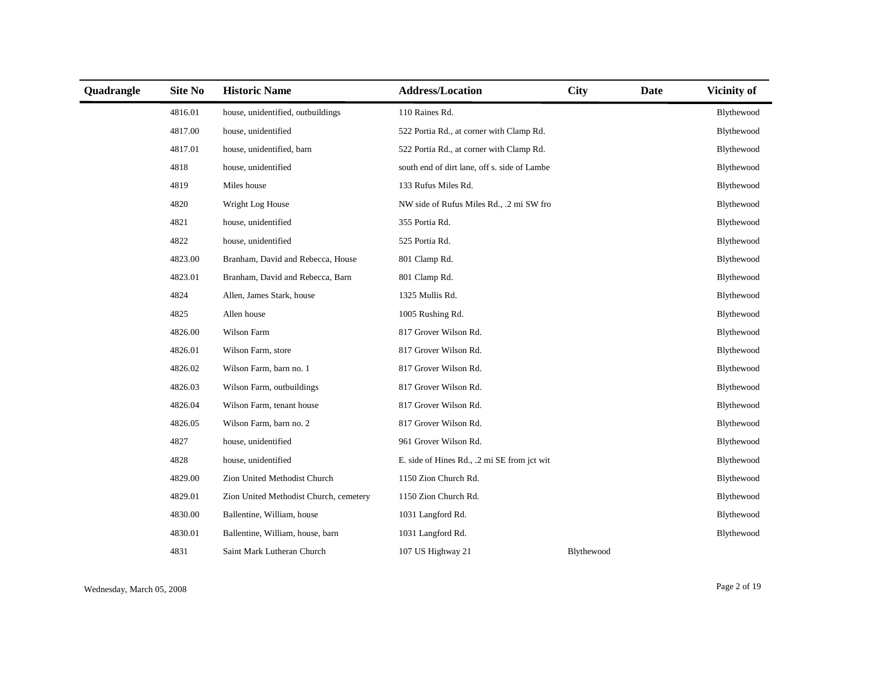| Quadrangle | Site No | <b>Historic Name</b>                   | <b>Address/Location</b>                      | <b>City</b> | Date | Vicinity of |
|------------|---------|----------------------------------------|----------------------------------------------|-------------|------|-------------|
|            | 4816.01 | house, unidentified, outbuildings      | 110 Raines Rd.                               |             |      | Blythewood  |
|            | 4817.00 | house, unidentified                    | 522 Portia Rd., at corner with Clamp Rd.     |             |      | Blythewood  |
|            | 4817.01 | house, unidentified, barn              | 522 Portia Rd., at corner with Clamp Rd.     |             |      | Blythewood  |
|            | 4818    | house, unidentified                    | south end of dirt lane, off s. side of Lambe |             |      | Blythewood  |
|            | 4819    | Miles house                            | 133 Rufus Miles Rd.                          |             |      | Blythewood  |
|            | 4820    | Wright Log House                       | NW side of Rufus Miles Rd., .2 mi SW fro     |             |      | Blythewood  |
|            | 4821    | house, unidentified                    | 355 Portia Rd.                               |             |      | Blythewood  |
|            | 4822    | house, unidentified                    | 525 Portia Rd.                               |             |      | Blythewood  |
|            | 4823.00 | Branham, David and Rebecca, House      | 801 Clamp Rd.                                |             |      | Blythewood  |
|            | 4823.01 | Branham, David and Rebecca, Barn       | 801 Clamp Rd.                                |             |      | Blythewood  |
|            | 4824    | Allen, James Stark, house              | 1325 Mullis Rd.                              |             |      | Blythewood  |
|            | 4825    | Allen house                            | 1005 Rushing Rd.                             |             |      | Blythewood  |
|            | 4826.00 | Wilson Farm                            | 817 Grover Wilson Rd.                        |             |      | Blythewood  |
|            | 4826.01 | Wilson Farm, store                     | 817 Grover Wilson Rd.                        |             |      | Blythewood  |
|            | 4826.02 | Wilson Farm, barn no. 1                | 817 Grover Wilson Rd.                        |             |      | Blythewood  |
|            | 4826.03 | Wilson Farm, outbuildings              | 817 Grover Wilson Rd.                        |             |      | Blythewood  |
|            | 4826.04 | Wilson Farm, tenant house              | 817 Grover Wilson Rd.                        |             |      | Blythewood  |
|            | 4826.05 | Wilson Farm, barn no. 2                | 817 Grover Wilson Rd.                        |             |      | Blythewood  |
|            | 4827    | house, unidentified                    | 961 Grover Wilson Rd.                        |             |      | Blythewood  |
|            | 4828    | house, unidentified                    | E. side of Hines Rd., .2 mi SE from jct wit  |             |      | Blythewood  |
|            | 4829.00 | Zion United Methodist Church           | 1150 Zion Church Rd.                         |             |      | Blythewood  |
|            | 4829.01 | Zion United Methodist Church, cemetery | 1150 Zion Church Rd.                         |             |      | Blythewood  |
|            | 4830.00 | Ballentine, William, house             | 1031 Langford Rd.                            |             |      | Blythewood  |
|            | 4830.01 | Ballentine, William, house, barn       | 1031 Langford Rd.                            |             |      | Blythewood  |
|            | 4831    | Saint Mark Lutheran Church             | 107 US Highway 21                            | Blythewood  |      |             |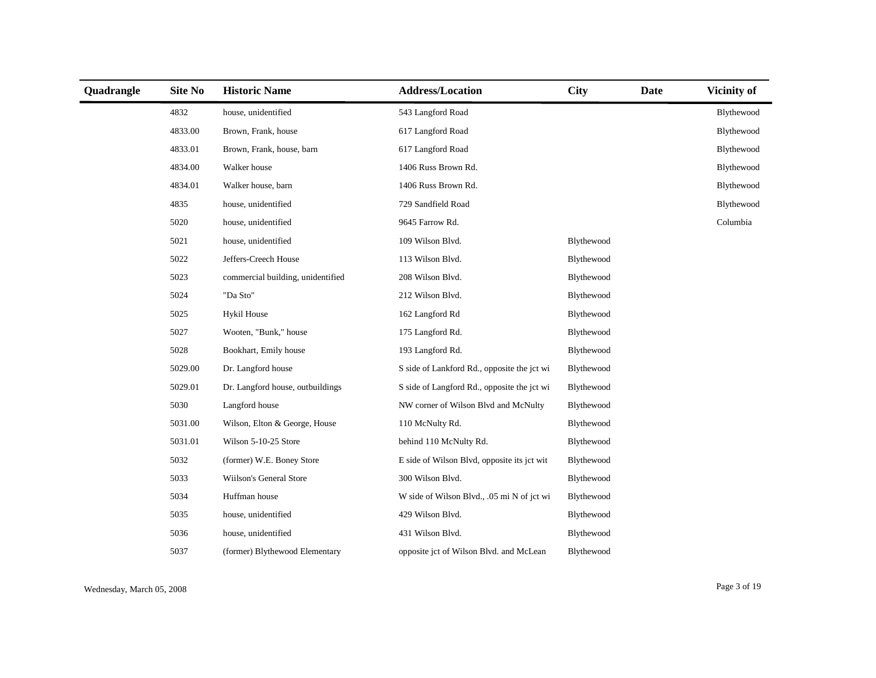| Quadrangle | <b>Site No</b> | <b>Historic Name</b>              | <b>Address/Location</b>                     | <b>City</b> | <b>Date</b> | Vicinity of |
|------------|----------------|-----------------------------------|---------------------------------------------|-------------|-------------|-------------|
|            | 4832           | house, unidentified               | 543 Langford Road                           |             |             | Blythewood  |
|            | 4833.00        | Brown, Frank, house               | 617 Langford Road                           |             |             | Blythewood  |
|            | 4833.01        | Brown, Frank, house, barn         | 617 Langford Road                           |             |             | Blythewood  |
|            | 4834.00        | Walker house                      | 1406 Russ Brown Rd.                         |             |             | Blythewood  |
|            | 4834.01        | Walker house, barn                | 1406 Russ Brown Rd.                         |             |             | Blythewood  |
|            | 4835           | house, unidentified               | 729 Sandfield Road                          |             |             | Blythewood  |
|            | 5020           | house, unidentified               | 9645 Farrow Rd.                             |             |             | Columbia    |
|            | 5021           | house, unidentified               | 109 Wilson Blvd.                            | Blythewood  |             |             |
|            | 5022           | Jeffers-Creech House              | 113 Wilson Blvd.                            | Blythewood  |             |             |
|            | 5023           | commercial building, unidentified | 208 Wilson Blvd.                            | Blythewood  |             |             |
|            | 5024           | "Da Sto"                          | 212 Wilson Blvd.                            | Blythewood  |             |             |
|            | 5025           | Hykil House                       | 162 Langford Rd                             | Blythewood  |             |             |
|            | 5027           | Wooten, "Bunk," house             | 175 Langford Rd.                            | Blythewood  |             |             |
|            | 5028           | Bookhart, Emily house             | 193 Langford Rd.                            | Blythewood  |             |             |
|            | 5029.00        | Dr. Langford house                | S side of Lankford Rd., opposite the jct wi | Blythewood  |             |             |
|            | 5029.01        | Dr. Langford house, outbuildings  | S side of Langford Rd., opposite the jct wi | Blythewood  |             |             |
|            | 5030           | Langford house                    | NW corner of Wilson Blvd and McNulty        | Blythewood  |             |             |
|            | 5031.00        | Wilson, Elton & George, House     | 110 McNulty Rd.                             | Blythewood  |             |             |
|            | 5031.01        | Wilson 5-10-25 Store              | behind 110 McNulty Rd.                      | Blythewood  |             |             |
|            | 5032           | (former) W.E. Boney Store         | E side of Wilson Blvd, opposite its jct wit | Blythewood  |             |             |
|            | 5033           | Wiilson's General Store           | 300 Wilson Blvd.                            | Blythewood  |             |             |
|            | 5034           | Huffman house                     | W side of Wilson Blvd., .05 mi N of jct wi  | Blythewood  |             |             |
|            | 5035           | house, unidentified               | 429 Wilson Blvd.                            | Blythewood  |             |             |
|            | 5036           | house, unidentified               | 431 Wilson Blvd.                            | Blythewood  |             |             |
|            | 5037           | (former) Blythewood Elementary    | opposite jct of Wilson Blvd. and McLean     | Blythewood  |             |             |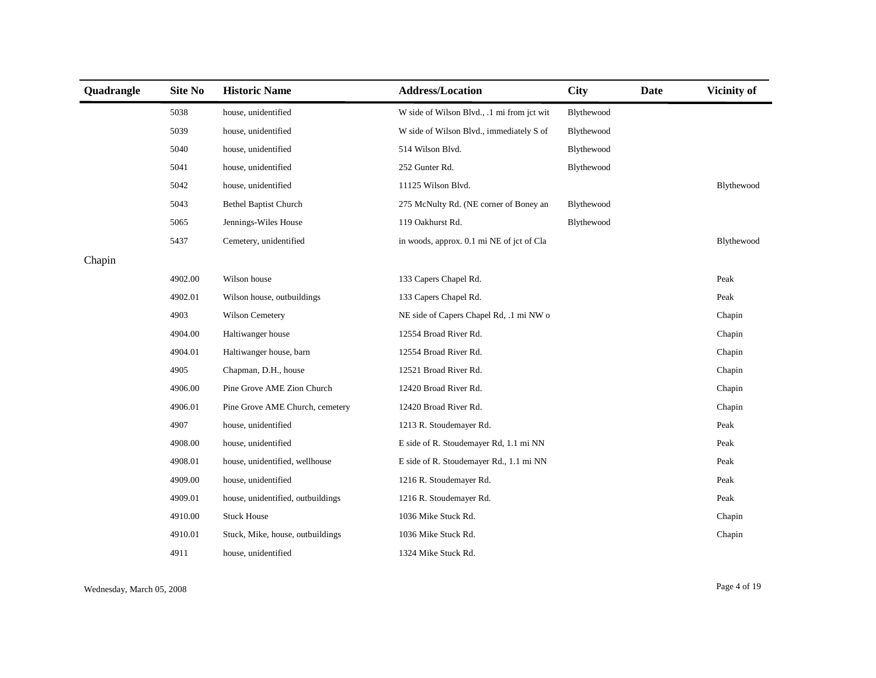| Quadrangle | Site No | <b>Historic Name</b>              | <b>Address/Location</b>                    | <b>City</b> | Date | Vicinity of |
|------------|---------|-----------------------------------|--------------------------------------------|-------------|------|-------------|
|            | 5038    | house, unidentified               | W side of Wilson Blvd., .1 mi from jct wit | Blythewood  |      |             |
|            | 5039    | house, unidentified               | W side of Wilson Blvd., immediately S of   | Blythewood  |      |             |
|            | 5040    | house, unidentified               | 514 Wilson Blvd.                           | Blythewood  |      |             |
|            | 5041    | house, unidentified               | 252 Gunter Rd.                             | Blythewood  |      |             |
|            | 5042    | house, unidentified               | 11125 Wilson Blvd.                         |             |      | Blythewood  |
|            | 5043    | <b>Bethel Baptist Church</b>      | 275 McNulty Rd. (NE corner of Boney an     | Blythewood  |      |             |
|            | 5065    | Jennings-Wiles House              | 119 Oakhurst Rd.                           | Blythewood  |      |             |
|            | 5437    | Cemetery, unidentified            | in woods, approx. 0.1 mi NE of jct of Cla  |             |      | Blythewood  |
| Chapin     |         |                                   |                                            |             |      |             |
|            | 4902.00 | Wilson house                      | 133 Capers Chapel Rd.                      |             |      | Peak        |
|            | 4902.01 | Wilson house, outbuildings        | 133 Capers Chapel Rd.                      |             |      | Peak        |
|            | 4903    | Wilson Cemetery                   | NE side of Capers Chapel Rd, .1 mi NW o    |             |      | Chapin      |
|            | 4904.00 | Haltiwanger house                 | 12554 Broad River Rd.                      |             |      | Chapin      |
|            | 4904.01 | Haltiwanger house, barn           | 12554 Broad River Rd.                      |             |      | Chapin      |
|            | 4905    | Chapman, D.H., house              | 12521 Broad River Rd.                      |             |      | Chapin      |
|            | 4906.00 | Pine Grove AME Zion Church        | 12420 Broad River Rd.                      |             |      | Chapin      |
|            | 4906.01 | Pine Grove AME Church, cemetery   | 12420 Broad River Rd.                      |             |      | Chapin      |
|            | 4907    | house, unidentified               | 1213 R. Stoudemayer Rd.                    |             |      | Peak        |
|            | 4908.00 | house, unidentified               | E side of R. Stoudemayer Rd, 1.1 mi NN     |             |      | Peak        |
|            | 4908.01 | house, unidentified, wellhouse    | E side of R. Stoudemayer Rd., 1.1 mi NN    |             |      | Peak        |
|            | 4909.00 | house, unidentified               | 1216 R. Stoudemayer Rd.                    |             |      | Peak        |
|            | 4909.01 | house, unidentified, outbuildings | 1216 R. Stoudemayer Rd.                    |             |      | Peak        |
|            | 4910.00 | <b>Stuck House</b>                | 1036 Mike Stuck Rd.                        |             |      | Chapin      |
|            | 4910.01 | Stuck, Mike, house, outbuildings  | 1036 Mike Stuck Rd.                        |             |      | Chapin      |
|            | 4911    | house, unidentified               | 1324 Mike Stuck Rd.                        |             |      |             |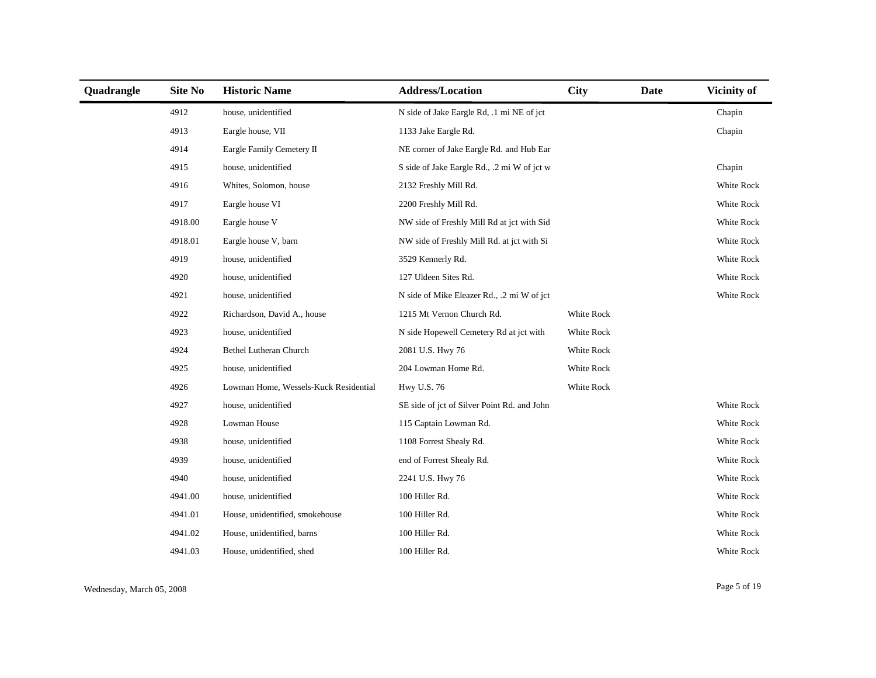| Quadrangle | <b>Site No</b> | <b>Historic Name</b>                  | <b>Address/Location</b>                     | <b>City</b> | <b>Date</b> | <b>Vicinity of</b> |
|------------|----------------|---------------------------------------|---------------------------------------------|-------------|-------------|--------------------|
|            | 4912           | house, unidentified                   | N side of Jake Eargle Rd, .1 mi NE of jct   |             |             | Chapin             |
|            | 4913           | Eargle house, VII                     | 1133 Jake Eargle Rd.                        |             |             | Chapin             |
|            | 4914           | Eargle Family Cemetery II             | NE corner of Jake Eargle Rd. and Hub Ear    |             |             |                    |
|            | 4915           | house, unidentified                   | S side of Jake Eargle Rd., .2 mi W of jct w |             |             | Chapin             |
|            | 4916           | Whites, Solomon, house                | 2132 Freshly Mill Rd.                       |             |             | White Rock         |
|            | 4917           | Eargle house VI                       | 2200 Freshly Mill Rd.                       |             |             | White Rock         |
|            | 4918.00        | Eargle house V                        | NW side of Freshly Mill Rd at jct with Sid  |             |             | White Rock         |
|            | 4918.01        | Eargle house V, barn                  | NW side of Freshly Mill Rd. at jct with Si  |             |             | White Rock         |
|            | 4919           | house, unidentified                   | 3529 Kennerly Rd.                           |             |             | White Rock         |
|            | 4920           | house, unidentified                   | 127 Uldeen Sites Rd.                        |             |             | White Rock         |
|            | 4921           | house, unidentified                   | N side of Mike Eleazer Rd., .2 mi W of jct  |             |             | White Rock         |
|            | 4922           | Richardson, David A., house           | 1215 Mt Vernon Church Rd.                   | White Rock  |             |                    |
|            | 4923           | house, unidentified                   | N side Hopewell Cemetery Rd at jct with     | White Rock  |             |                    |
|            | 4924           | Bethel Lutheran Church                | 2081 U.S. Hwy 76                            | White Rock  |             |                    |
|            | 4925           | house, unidentified                   | 204 Lowman Home Rd.                         | White Rock  |             |                    |
|            | 4926           | Lowman Home, Wessels-Kuck Residential | Hwy U.S. 76                                 | White Rock  |             |                    |
|            | 4927           | house, unidentified                   | SE side of jct of Silver Point Rd. and John |             |             | White Rock         |
|            | 4928           | Lowman House                          | 115 Captain Lowman Rd.                      |             |             | White Rock         |
|            | 4938           | house, unidentified                   | 1108 Forrest Shealy Rd.                     |             |             | White Rock         |
|            | 4939           | house, unidentified                   | end of Forrest Shealy Rd.                   |             |             | White Rock         |
|            | 4940           | house, unidentified                   | 2241 U.S. Hwy 76                            |             |             | White Rock         |
|            | 4941.00        | house, unidentified                   | 100 Hiller Rd.                              |             |             | White Rock         |
|            | 4941.01        | House, unidentified, smokehouse       | 100 Hiller Rd.                              |             |             | White Rock         |
|            | 4941.02        | House, unidentified, barns            | 100 Hiller Rd.                              |             |             | White Rock         |
|            | 4941.03        | House, unidentified, shed             | 100 Hiller Rd.                              |             |             | White Rock         |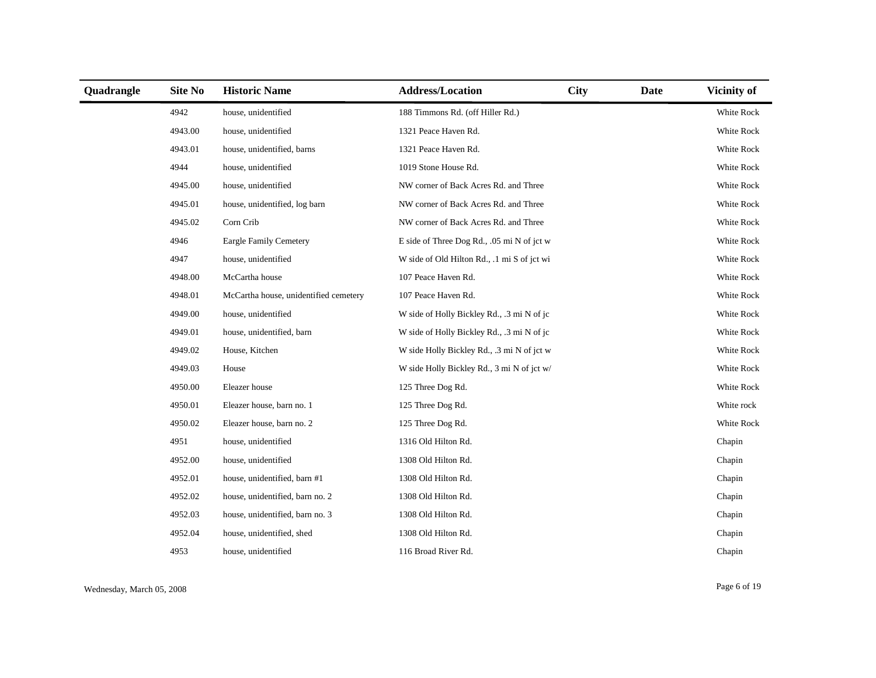| Quadrangle | Site No | <b>Historic Name</b>                  | <b>Address/Location</b>                     | <b>City</b> | <b>Date</b> | Vicinity of |
|------------|---------|---------------------------------------|---------------------------------------------|-------------|-------------|-------------|
|            | 4942    | house, unidentified                   | 188 Timmons Rd. (off Hiller Rd.)            |             |             | White Rock  |
|            | 4943.00 | house, unidentified                   | 1321 Peace Haven Rd.                        |             |             | White Rock  |
|            | 4943.01 | house, unidentified, barns            | 1321 Peace Haven Rd.                        |             |             | White Rock  |
|            | 4944    | house, unidentified                   | 1019 Stone House Rd.                        |             |             | White Rock  |
|            | 4945.00 | house, unidentified                   | NW corner of Back Acres Rd. and Three       |             |             | White Rock  |
|            | 4945.01 | house, unidentified, log barn         | NW corner of Back Acres Rd. and Three       |             |             | White Rock  |
|            | 4945.02 | Corn Crib                             | NW corner of Back Acres Rd. and Three       |             |             | White Rock  |
|            | 4946    | <b>Eargle Family Cemetery</b>         | E side of Three Dog Rd., .05 mi N of jct w  |             |             | White Rock  |
|            | 4947    | house, unidentified                   | W side of Old Hilton Rd., .1 mi S of jct wi |             |             | White Rock  |
|            | 4948.00 | McCartha house                        | 107 Peace Haven Rd.                         |             |             | White Rock  |
|            | 4948.01 | McCartha house, unidentified cemetery | 107 Peace Haven Rd.                         |             |             | White Rock  |
|            | 4949.00 | house, unidentified                   | W side of Holly Bickley Rd., .3 mi N of jc  |             |             | White Rock  |
|            | 4949.01 | house, unidentified, barn             | W side of Holly Bickley Rd., .3 mi N of jc  |             |             | White Rock  |
|            | 4949.02 | House, Kitchen                        | W side Holly Bickley Rd., .3 mi N of jct w  |             |             | White Rock  |
|            | 4949.03 | House                                 | W side Holly Bickley Rd., 3 mi N of jct w/  |             |             | White Rock  |
|            | 4950.00 | Eleazer house                         | 125 Three Dog Rd.                           |             |             | White Rock  |
|            | 4950.01 | Eleazer house, barn no. 1             | 125 Three Dog Rd.                           |             |             | White rock  |
|            | 4950.02 | Eleazer house, barn no. 2             | 125 Three Dog Rd.                           |             |             | White Rock  |
|            | 4951    | house, unidentified                   | 1316 Old Hilton Rd.                         |             |             | Chapin      |
|            | 4952.00 | house, unidentified                   | 1308 Old Hilton Rd.                         |             |             | Chapin      |
|            | 4952.01 | house, unidentified, barn #1          | 1308 Old Hilton Rd.                         |             |             | Chapin      |
|            | 4952.02 | house, unidentified, barn no. 2       | 1308 Old Hilton Rd.                         |             |             | Chapin      |
|            | 4952.03 | house, unidentified, barn no. 3       | 1308 Old Hilton Rd.                         |             |             | Chapin      |
|            | 4952.04 | house, unidentified, shed             | 1308 Old Hilton Rd.                         |             |             | Chapin      |
|            | 4953    | house, unidentified                   | 116 Broad River Rd.                         |             |             | Chapin      |

Wednesday, March 05, 2008 Page 6 of 19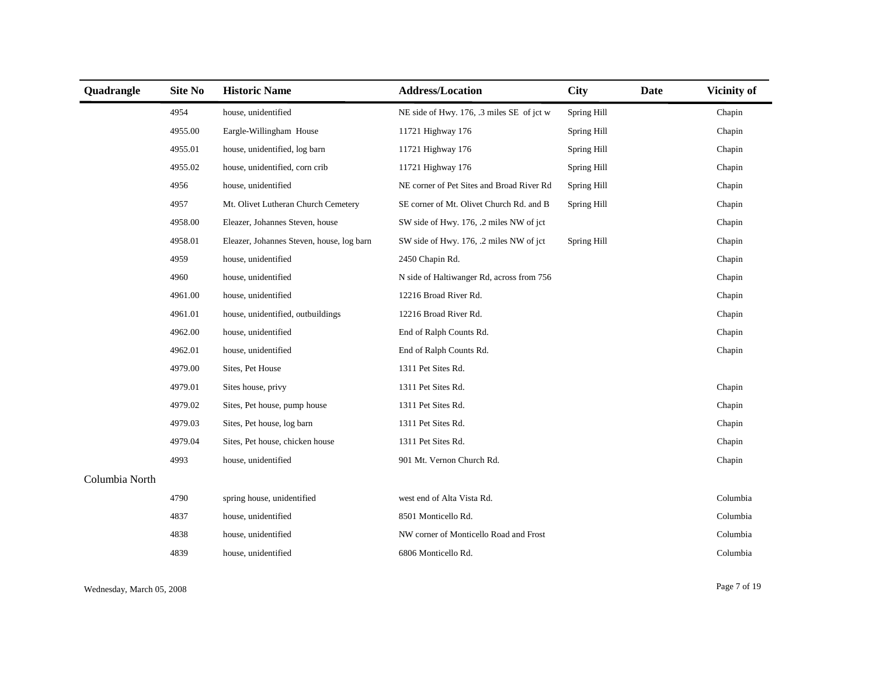| Quadrangle     | <b>Site No</b> | <b>Historic Name</b>                      | <b>Address/Location</b>                   | <b>City</b> | Date | Vicinity of |
|----------------|----------------|-------------------------------------------|-------------------------------------------|-------------|------|-------------|
|                | 4954           | house, unidentified                       | NE side of Hwy. 176, .3 miles SE of jct w | Spring Hill |      | Chapin      |
|                | 4955.00        | Eargle-Willingham House                   | 11721 Highway 176                         | Spring Hill |      | Chapin      |
|                | 4955.01        | house, unidentified, log barn             | 11721 Highway 176                         | Spring Hill |      | Chapin      |
|                | 4955.02        | house, unidentified, corn crib            | 11721 Highway 176                         | Spring Hill |      | Chapin      |
|                | 4956           | house, unidentified                       | NE corner of Pet Sites and Broad River Rd | Spring Hill |      | Chapin      |
|                | 4957           | Mt. Olivet Lutheran Church Cemetery       | SE corner of Mt. Olivet Church Rd. and B  | Spring Hill |      | Chapin      |
|                | 4958.00        | Eleazer, Johannes Steven, house           | SW side of Hwy. 176, .2 miles NW of jct   |             |      | Chapin      |
|                | 4958.01        | Eleazer, Johannes Steven, house, log barn | SW side of Hwy. 176, .2 miles NW of jct   | Spring Hill |      | Chapin      |
|                | 4959           | house, unidentified                       | 2450 Chapin Rd.                           |             |      | Chapin      |
|                | 4960           | house, unidentified                       | N side of Haltiwanger Rd, across from 756 |             |      | Chapin      |
|                | 4961.00        | house, unidentified                       | 12216 Broad River Rd.                     |             |      | Chapin      |
|                | 4961.01        | house, unidentified, outbuildings         | 12216 Broad River Rd.                     |             |      | Chapin      |
|                | 4962.00        | house, unidentified                       | End of Ralph Counts Rd.                   |             |      | Chapin      |
|                | 4962.01        | house, unidentified                       | End of Ralph Counts Rd.                   |             |      | Chapin      |
|                | 4979.00        | Sites, Pet House                          | 1311 Pet Sites Rd.                        |             |      |             |
|                | 4979.01        | Sites house, privy                        | 1311 Pet Sites Rd.                        |             |      | Chapin      |
|                | 4979.02        | Sites, Pet house, pump house              | 1311 Pet Sites Rd.                        |             |      | Chapin      |
|                | 4979.03        | Sites, Pet house, log barn                | 1311 Pet Sites Rd.                        |             |      | Chapin      |
|                | 4979.04        | Sites, Pet house, chicken house           | 1311 Pet Sites Rd.                        |             |      | Chapin      |
|                | 4993           | house, unidentified                       | 901 Mt. Vernon Church Rd.                 |             |      | Chapin      |
| Columbia North |                |                                           |                                           |             |      |             |
|                | 4790           | spring house, unidentified                | west end of Alta Vista Rd.                |             |      | Columbia    |
|                | 4837           | house, unidentified                       | 8501 Monticello Rd.                       |             |      | Columbia    |
|                | 4838           | house, unidentified                       | NW corner of Monticello Road and Frost    |             |      | Columbia    |
|                | 4839           | house, unidentified                       | 6806 Monticello Rd.                       |             |      | Columbia    |

Wednesday, March 05, 2008 Page 7 of 19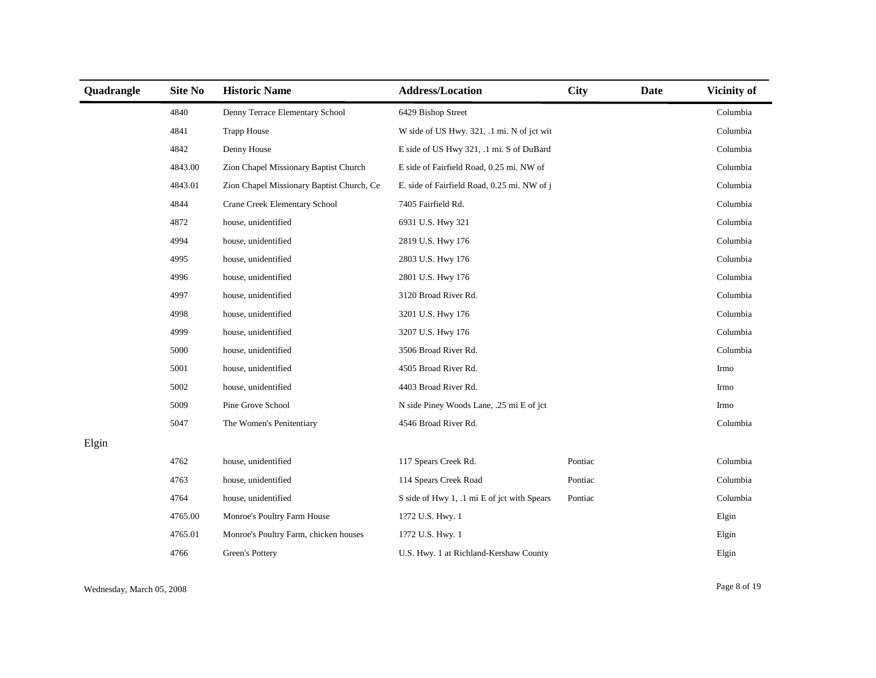| Quadrangle | <b>Site No</b> | <b>Historic Name</b>                      | <b>Address/Location</b>                     | <b>City</b> | Date | Vicinity of |
|------------|----------------|-------------------------------------------|---------------------------------------------|-------------|------|-------------|
|            | 4840           | Denny Terrace Elementary School           | 6429 Bishop Street                          |             |      | Columbia    |
|            | 4841           | <b>Trapp House</b>                        | W side of US Hwy. 321, .1 mi. N of jct wit  |             |      | Columbia    |
|            | 4842           | Denny House                               | E side of US Hwy 321, .1 mi. S of DuBard    |             |      | Columbia    |
|            | 4843.00        | Zion Chapel Missionary Baptist Church     | E side of Fairfield Road, 0.25 mi. NW of    |             |      | Columbia    |
|            | 4843.01        | Zion Chapel Missionary Baptist Church, Ce | E. side of Fairfield Road, 0.25 mi. NW of j |             |      | Columbia    |
|            | 4844           | Crane Creek Elementary School             | 7405 Fairfield Rd.                          |             |      | Columbia    |
|            | 4872           | house, unidentified                       | 6931 U.S. Hwy 321                           |             |      | Columbia    |
|            | 4994           | house, unidentified                       | 2819 U.S. Hwy 176                           |             |      | Columbia    |
|            | 4995           | house, unidentified                       | 2803 U.S. Hwy 176                           |             |      | Columbia    |
|            | 4996           | house, unidentified                       | 2801 U.S. Hwy 176                           |             |      | Columbia    |
|            | 4997           | house, unidentified                       | 3120 Broad River Rd.                        |             |      | Columbia    |
|            | 4998           | house, unidentified                       | 3201 U.S. Hwy 176                           |             |      | Columbia    |
|            | 4999           | house, unidentified                       | 3207 U.S. Hwy 176                           |             |      | Columbia    |
|            | 5000           | house, unidentified                       | 3506 Broad River Rd.                        |             |      | Columbia    |
|            | 5001           | house, unidentified                       | 4505 Broad River Rd.                        |             |      | Irmo        |
|            | 5002           | house, unidentified                       | 4403 Broad River Rd.                        |             |      | Irmo        |
|            | 5009           | Pine Grove School                         | N side Piney Woods Lane, .25 mi E of jct    |             |      | Irmo        |
|            | 5047           | The Women's Penitentiary                  | 4546 Broad River Rd.                        |             |      | Columbia    |
| Elgin      |                |                                           |                                             |             |      |             |
|            | 4762           | house, unidentified                       | 117 Spears Creek Rd.                        | Pontiac     |      | Columbia    |
|            | 4763           | house, unidentified                       | 114 Spears Creek Road                       | Pontiac     |      | Columbia    |
|            | 4764           | house, unidentified                       | S side of Hwy 1, .1 mi E of jct with Spears | Pontiac     |      | Columbia    |
|            | 4765.00        | Monroe's Poultry Farm House               | 1?72 U.S. Hwy. 1                            |             |      | Elgin       |
|            | 4765.01        | Monroe's Poultry Farm, chicken houses     | 1?72 U.S. Hwy. 1                            |             |      | Elgin       |
|            | 4766           | Green's Pottery                           | U.S. Hwy. 1 at Richland-Kershaw County      |             |      | Elgin       |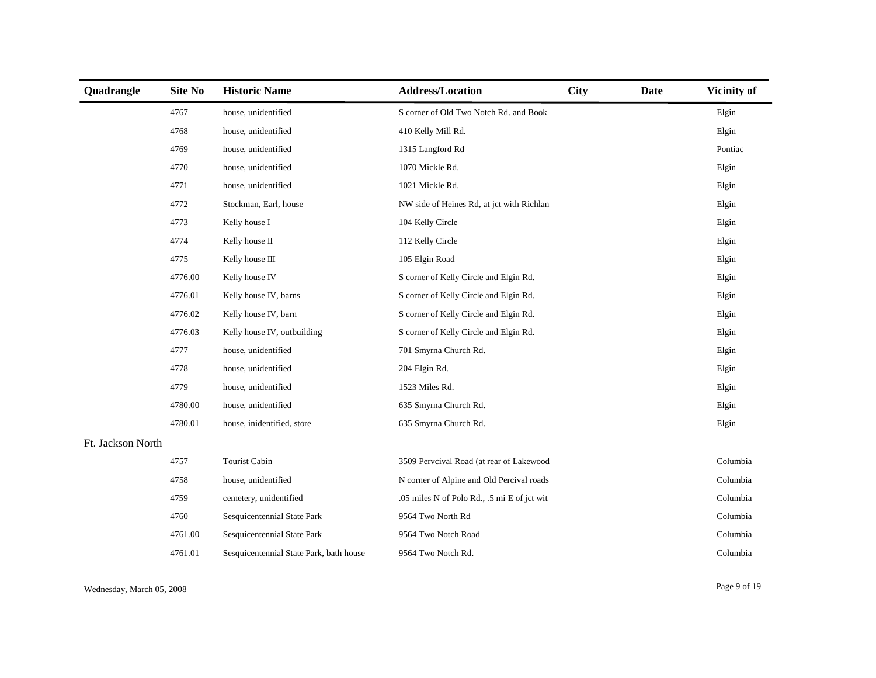| Quadrangle        | <b>Site No</b> | <b>Historic Name</b>                    | <b>Address/Location</b>                     | <b>City</b> | <b>Date</b> | Vicinity of |
|-------------------|----------------|-----------------------------------------|---------------------------------------------|-------------|-------------|-------------|
|                   | 4767           | house, unidentified                     | S corner of Old Two Notch Rd. and Book      |             |             | Elgin       |
|                   | 4768           | house, unidentified                     | 410 Kelly Mill Rd.                          |             |             | Elgin       |
|                   | 4769           | house, unidentified                     | 1315 Langford Rd                            |             |             | Pontiac     |
|                   | 4770           | house, unidentified                     | 1070 Mickle Rd.                             |             |             | Elgin       |
|                   | 4771           | house, unidentified                     | 1021 Mickle Rd.                             |             |             | Elgin       |
|                   | 4772           | Stockman, Earl, house                   | NW side of Heines Rd, at jct with Richlan   |             |             | Elgin       |
|                   | 4773           | Kelly house I                           | 104 Kelly Circle                            |             |             | Elgin       |
|                   | 4774           | Kelly house II                          | 112 Kelly Circle                            |             |             | Elgin       |
|                   | 4775           | Kelly house III                         | 105 Elgin Road                              |             |             | Elgin       |
|                   | 4776.00        | Kelly house IV                          | S corner of Kelly Circle and Elgin Rd.      |             |             | Elgin       |
|                   | 4776.01        | Kelly house IV, barns                   | S corner of Kelly Circle and Elgin Rd.      |             |             | Elgin       |
|                   | 4776.02        | Kelly house IV, barn                    | S corner of Kelly Circle and Elgin Rd.      |             |             | Elgin       |
|                   | 4776.03        | Kelly house IV, outbuilding             | S corner of Kelly Circle and Elgin Rd.      |             |             | Elgin       |
|                   | 4777           | house, unidentified                     | 701 Smyrna Church Rd.                       |             |             | Elgin       |
|                   | 4778           | house, unidentified                     | 204 Elgin Rd.                               |             |             | Elgin       |
|                   | 4779           | house, unidentified                     | 1523 Miles Rd.                              |             |             | Elgin       |
|                   | 4780.00        | house, unidentified                     | 635 Smyrna Church Rd.                       |             |             | Elgin       |
|                   | 4780.01        | house, inidentified, store              | 635 Smyrna Church Rd.                       |             |             | Elgin       |
| Ft. Jackson North |                |                                         |                                             |             |             |             |
|                   | 4757           | Tourist Cabin                           | 3509 Pervcival Road (at rear of Lakewood    |             |             | Columbia    |
|                   | 4758           | house, unidentified                     | N corner of Alpine and Old Percival roads   |             |             | Columbia    |
|                   | 4759           | cemetery, unidentified                  | .05 miles N of Polo Rd., .5 mi E of jct wit |             |             | Columbia    |
|                   | 4760           | Sesquicentennial State Park             | 9564 Two North Rd                           |             |             | Columbia    |
|                   | 4761.00        | Sesquicentennial State Park             | 9564 Two Notch Road                         |             |             | Columbia    |
|                   | 4761.01        | Sesquicentennial State Park, bath house | 9564 Two Notch Rd.                          |             |             | Columbia    |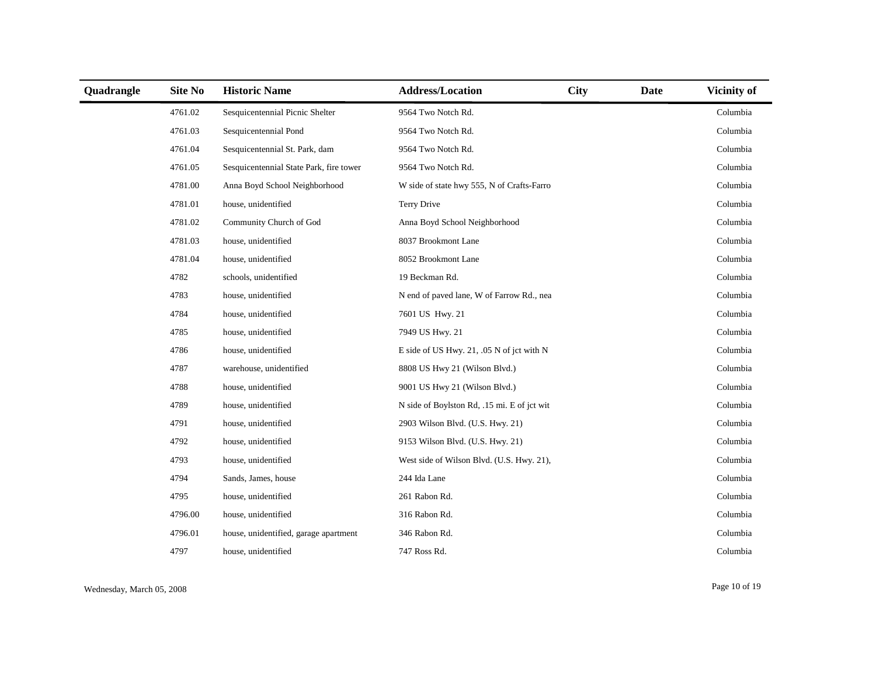| Quadrangle | <b>Site No</b> | <b>Historic Name</b>                    | <b>Address/Location</b>                     | <b>City</b> | <b>Date</b> | <b>Vicinity of</b> |
|------------|----------------|-----------------------------------------|---------------------------------------------|-------------|-------------|--------------------|
|            | 4761.02        | Sesquicentennial Picnic Shelter         | 9564 Two Notch Rd.                          |             |             | Columbia           |
|            | 4761.03        | Sesquicentennial Pond                   | 9564 Two Notch Rd.                          |             |             | Columbia           |
|            | 4761.04        | Sesquicentennial St. Park, dam          | 9564 Two Notch Rd.                          |             |             | Columbia           |
|            | 4761.05        | Sesquicentennial State Park, fire tower | 9564 Two Notch Rd.                          |             |             | Columbia           |
|            | 4781.00        | Anna Boyd School Neighborhood           | W side of state hwy 555, N of Crafts-Farro  |             |             | Columbia           |
|            | 4781.01        | house, unidentified                     | Terry Drive                                 |             |             | Columbia           |
|            | 4781.02        | Community Church of God                 | Anna Boyd School Neighborhood               |             |             | Columbia           |
|            | 4781.03        | house, unidentified                     | 8037 Brookmont Lane                         |             |             | Columbia           |
|            | 4781.04        | house, unidentified                     | 8052 Brookmont Lane                         |             |             | Columbia           |
|            | 4782           | schools, unidentified                   | 19 Beckman Rd.                              |             |             | Columbia           |
|            | 4783           | house, unidentified                     | N end of paved lane, W of Farrow Rd., nea   |             |             | Columbia           |
|            | 4784           | house, unidentified                     | 7601 US Hwy. 21                             |             |             | Columbia           |
|            | 4785           | house, unidentified                     | 7949 US Hwy. 21                             |             |             | Columbia           |
|            | 4786           | house, unidentified                     | E side of US Hwy. 21, .05 N of jct with N   |             |             | Columbia           |
|            | 4787           | warehouse, unidentified                 | 8808 US Hwy 21 (Wilson Blvd.)               |             |             | Columbia           |
|            | 4788           | house, unidentified                     | 9001 US Hwy 21 (Wilson Blvd.)               |             |             | Columbia           |
|            | 4789           | house, unidentified                     | N side of Boylston Rd, .15 mi. E of jct wit |             |             | Columbia           |
|            | 4791           | house, unidentified                     | 2903 Wilson Blvd. (U.S. Hwy. 21)            |             |             | Columbia           |
|            | 4792           | house, unidentified                     | 9153 Wilson Blvd. (U.S. Hwy. 21)            |             |             | Columbia           |
|            | 4793           | house, unidentified                     | West side of Wilson Blvd. (U.S. Hwy. 21),   |             |             | Columbia           |
|            | 4794           | Sands, James, house                     | 244 Ida Lane                                |             |             | Columbia           |
|            | 4795           | house, unidentified                     | 261 Rabon Rd.                               |             |             | Columbia           |
|            | 4796.00        | house, unidentified                     | 316 Rabon Rd.                               |             |             | Columbia           |
|            | 4796.01        | house, unidentified, garage apartment   | 346 Rabon Rd.                               |             |             | Columbia           |
|            | 4797           | house, unidentified                     | 747 Ross Rd.                                |             |             | Columbia           |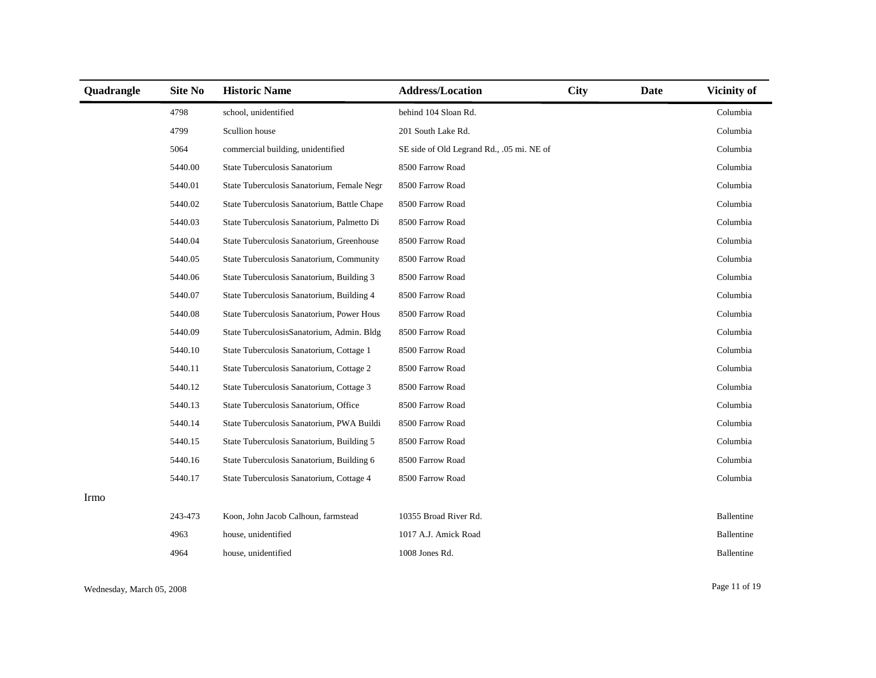| Quadrangle | Site No | <b>Historic Name</b>                        | <b>Address/Location</b>                   | <b>City</b> | Date | <b>Vicinity of</b> |
|------------|---------|---------------------------------------------|-------------------------------------------|-------------|------|--------------------|
|            | 4798    | school, unidentified                        | behind 104 Sloan Rd.                      |             |      | Columbia           |
|            | 4799    | Scullion house                              | 201 South Lake Rd.                        |             |      | Columbia           |
|            | 5064    | commercial building, unidentified           | SE side of Old Legrand Rd., .05 mi. NE of |             |      | Columbia           |
|            | 5440.00 | State Tuberculosis Sanatorium               | 8500 Farrow Road                          |             |      | Columbia           |
|            | 5440.01 | State Tuberculosis Sanatorium, Female Negr  | 8500 Farrow Road                          |             |      | Columbia           |
|            | 5440.02 | State Tuberculosis Sanatorium, Battle Chape | 8500 Farrow Road                          |             |      | Columbia           |
|            | 5440.03 | State Tuberculosis Sanatorium, Palmetto Di  | 8500 Farrow Road                          |             |      | Columbia           |
|            | 5440.04 | State Tuberculosis Sanatorium, Greenhouse   | 8500 Farrow Road                          |             |      | Columbia           |
|            | 5440.05 | State Tuberculosis Sanatorium, Community    | 8500 Farrow Road                          |             |      | Columbia           |
|            | 5440.06 | State Tuberculosis Sanatorium, Building 3   | 8500 Farrow Road                          |             |      | Columbia           |
|            | 5440.07 | State Tuberculosis Sanatorium, Building 4   | 8500 Farrow Road                          |             |      | Columbia           |
|            | 5440.08 | State Tuberculosis Sanatorium, Power Hous   | 8500 Farrow Road                          |             |      | Columbia           |
|            | 5440.09 | State TuberculosisSanatorium, Admin. Bldg   | 8500 Farrow Road                          |             |      | Columbia           |
|            | 5440.10 | State Tuberculosis Sanatorium, Cottage 1    | 8500 Farrow Road                          |             |      | Columbia           |
|            | 5440.11 | State Tuberculosis Sanatorium, Cottage 2    | 8500 Farrow Road                          |             |      | Columbia           |
|            | 5440.12 | State Tuberculosis Sanatorium, Cottage 3    | 8500 Farrow Road                          |             |      | Columbia           |
|            | 5440.13 | State Tuberculosis Sanatorium, Office       | 8500 Farrow Road                          |             |      | Columbia           |
|            | 5440.14 | State Tuberculosis Sanatorium, PWA Buildi   | 8500 Farrow Road                          |             |      | Columbia           |
|            | 5440.15 | State Tuberculosis Sanatorium, Building 5   | 8500 Farrow Road                          |             |      | Columbia           |
|            | 5440.16 | State Tuberculosis Sanatorium, Building 6   | 8500 Farrow Road                          |             |      | Columbia           |
|            | 5440.17 | State Tuberculosis Sanatorium, Cottage 4    | 8500 Farrow Road                          |             |      | Columbia           |
| Irmo       |         |                                             |                                           |             |      |                    |
|            | 243-473 | Koon, John Jacob Calhoun, farmstead         | 10355 Broad River Rd.                     |             |      | Ballentine         |
|            | 4963    | house, unidentified                         | 1017 A.J. Amick Road                      |             |      | Ballentine         |
|            | 4964    | house, unidentified                         | 1008 Jones Rd.                            |             |      | Ballentine         |

Wednesday, March 05, 2008 Page 11 of 19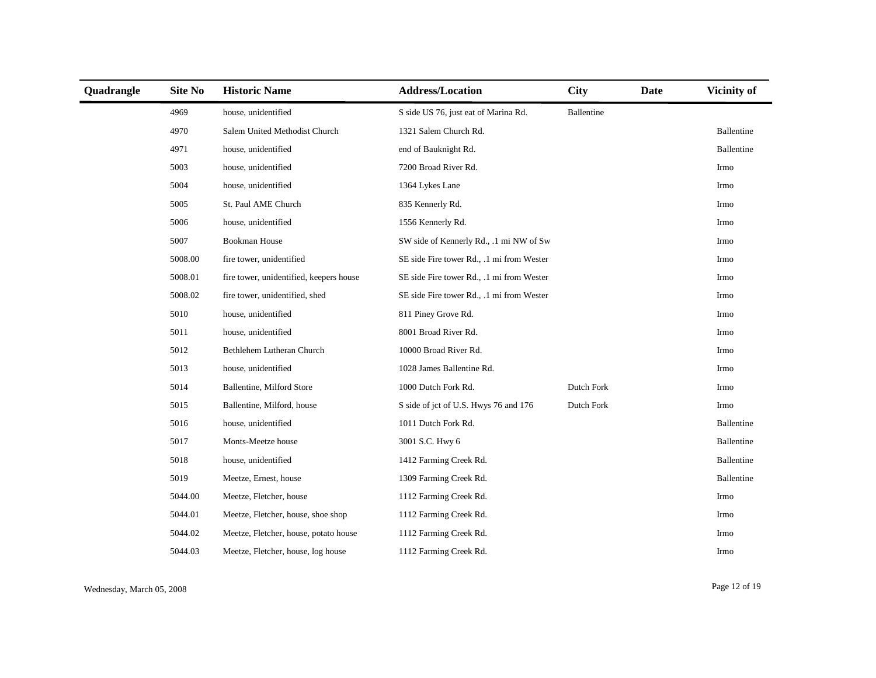| Quadrangle | Site No | <b>Historic Name</b>                    | <b>Address/Location</b>                   | <b>City</b> | <b>Date</b> | <b>Vicinity of</b> |
|------------|---------|-----------------------------------------|-------------------------------------------|-------------|-------------|--------------------|
|            | 4969    | house, unidentified                     | S side US 76, just eat of Marina Rd.      | Ballentine  |             |                    |
|            | 4970    | Salem United Methodist Church           | 1321 Salem Church Rd.                     |             |             | Ballentine         |
|            | 4971    | house, unidentified                     | end of Bauknight Rd.                      |             |             | Ballentine         |
|            | 5003    | house, unidentified                     | 7200 Broad River Rd.                      |             |             | Irmo               |
|            | 5004    | house, unidentified                     | 1364 Lykes Lane                           |             |             | Irmo               |
|            | 5005    | St. Paul AME Church                     | 835 Kennerly Rd.                          |             |             | Irmo               |
|            | 5006    | house, unidentified                     | 1556 Kennerly Rd.                         |             |             | Irmo               |
|            | 5007    | <b>Bookman House</b>                    | SW side of Kennerly Rd., .1 mi NW of Sw   |             |             | Irmo               |
|            | 5008.00 | fire tower, unidentified                | SE side Fire tower Rd., .1 mi from Wester |             |             | Irmo               |
|            | 5008.01 | fire tower, unidentified, keepers house | SE side Fire tower Rd., .1 mi from Wester |             |             | Irmo               |
|            | 5008.02 | fire tower, unidentified, shed          | SE side Fire tower Rd., .1 mi from Wester |             |             | Irmo               |
|            | 5010    | house, unidentified                     | 811 Piney Grove Rd.                       |             |             | Irmo               |
|            | 5011    | house, unidentified                     | 8001 Broad River Rd.                      |             |             | Irmo               |
|            | 5012    | Bethlehem Lutheran Church               | 10000 Broad River Rd.                     |             |             | Irmo               |
|            | 5013    | house, unidentified                     | 1028 James Ballentine Rd.                 |             |             | Irmo               |
|            | 5014    | Ballentine, Milford Store               | 1000 Dutch Fork Rd.                       | Dutch Fork  |             | Irmo               |
|            | 5015    | Ballentine, Milford, house              | S side of jct of U.S. Hwys 76 and 176     | Dutch Fork  |             | Irmo               |
|            | 5016    | house, unidentified                     | 1011 Dutch Fork Rd.                       |             |             | Ballentine         |
|            | 5017    | Monts-Meetze house                      | 3001 S.C. Hwy 6                           |             |             | Ballentine         |
|            | 5018    | house, unidentified                     | 1412 Farming Creek Rd.                    |             |             | Ballentine         |
|            | 5019    | Meetze, Ernest, house                   | 1309 Farming Creek Rd.                    |             |             | Ballentine         |
|            | 5044.00 | Meetze, Fletcher, house                 | 1112 Farming Creek Rd.                    |             |             | Irmo               |
|            | 5044.01 | Meetze, Fletcher, house, shoe shop      | 1112 Farming Creek Rd.                    |             |             | Irmo               |
|            | 5044.02 | Meetze, Fletcher, house, potato house   | 1112 Farming Creek Rd.                    |             |             | Irmo               |
|            | 5044.03 | Meetze, Fletcher, house, log house      | 1112 Farming Creek Rd.                    |             |             | Irmo               |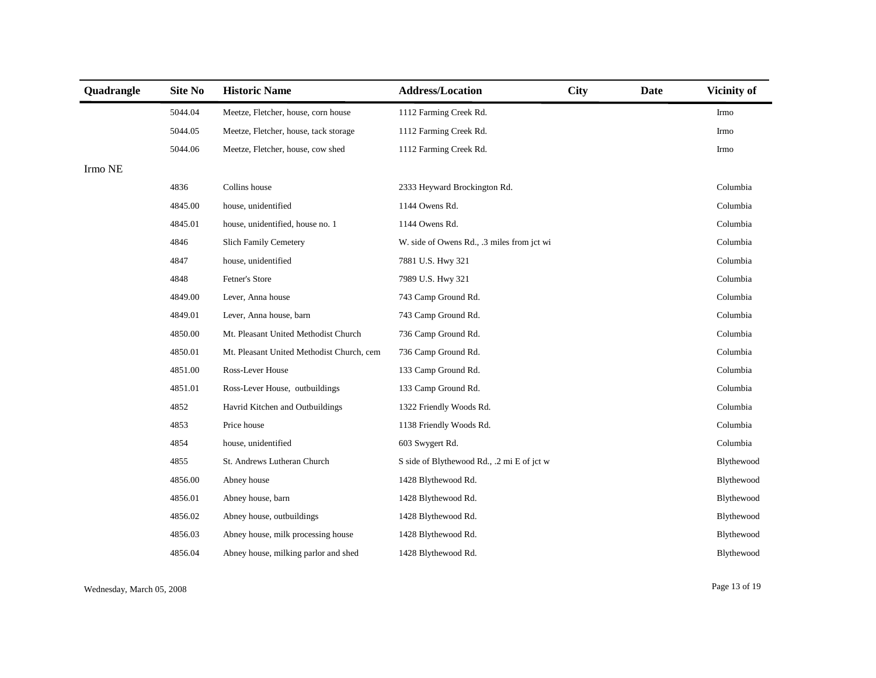| Quadrangle                | <b>Site No</b> | <b>Historic Name</b>                      | <b>Address/Location</b>                    | <b>City</b> | Date | Vicinity of |
|---------------------------|----------------|-------------------------------------------|--------------------------------------------|-------------|------|-------------|
|                           | 5044.04        | Meetze, Fletcher, house, corn house       | 1112 Farming Creek Rd.                     |             |      | Irmo        |
|                           | 5044.05        | Meetze, Fletcher, house, tack storage     | 1112 Farming Creek Rd.                     |             |      | Irmo        |
|                           | 5044.06        | Meetze, Fletcher, house, cow shed         | 1112 Farming Creek Rd.                     |             |      | Irmo        |
| $\operatorname*{lrmo}$ NE |                |                                           |                                            |             |      |             |
|                           | 4836           | Collins house                             | 2333 Heyward Brockington Rd.               |             |      | Columbia    |
|                           | 4845.00        | house, unidentified                       | 1144 Owens Rd.                             |             |      | Columbia    |
|                           | 4845.01        | house, unidentified, house no. 1          | 1144 Owens Rd.                             |             |      | Columbia    |
|                           | 4846           | Slich Family Cemetery                     | W. side of Owens Rd., .3 miles from jct wi |             |      | Columbia    |
|                           | 4847           | house, unidentified                       | 7881 U.S. Hwy 321                          |             |      | Columbia    |
|                           | 4848           | Fetner's Store                            | 7989 U.S. Hwy 321                          |             |      | Columbia    |
|                           | 4849.00        | Lever, Anna house                         | 743 Camp Ground Rd.                        |             |      | Columbia    |
|                           | 4849.01        | Lever, Anna house, barn                   | 743 Camp Ground Rd.                        |             |      | Columbia    |
|                           | 4850.00        | Mt. Pleasant United Methodist Church      | 736 Camp Ground Rd.                        |             |      | Columbia    |
|                           | 4850.01        | Mt. Pleasant United Methodist Church, cem | 736 Camp Ground Rd.                        |             |      | Columbia    |
|                           | 4851.00        | Ross-Lever House                          | 133 Camp Ground Rd.                        |             |      | Columbia    |
|                           | 4851.01        | Ross-Lever House, outbuildings            | 133 Camp Ground Rd.                        |             |      | Columbia    |
|                           | 4852           | Havrid Kitchen and Outbuildings           | 1322 Friendly Woods Rd.                    |             |      | Columbia    |
|                           | 4853           | Price house                               | 1138 Friendly Woods Rd.                    |             |      | Columbia    |
|                           | 4854           | house, unidentified                       | 603 Swygert Rd.                            |             |      | Columbia    |
|                           | 4855           | St. Andrews Lutheran Church               | S side of Blythewood Rd., .2 mi E of jct w |             |      | Blythewood  |
|                           | 4856.00        | Abney house                               | 1428 Blythewood Rd.                        |             |      | Blythewood  |
|                           | 4856.01        | Abney house, barn                         | 1428 Blythewood Rd.                        |             |      | Blythewood  |
|                           | 4856.02        | Abney house, outbuildings                 | 1428 Blythewood Rd.                        |             |      | Blythewood  |
|                           | 4856.03        | Abney house, milk processing house        | 1428 Blythewood Rd.                        |             |      | Blythewood  |
|                           | 4856.04        | Abney house, milking parlor and shed      | 1428 Blythewood Rd.                        |             |      | Blythewood  |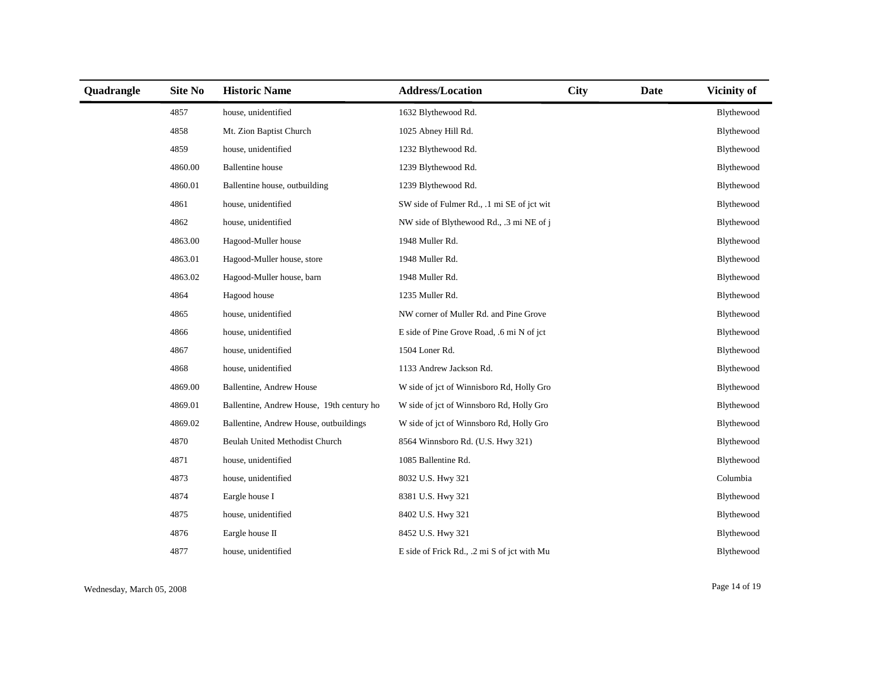| Quadrangle | <b>Site No</b> | <b>Historic Name</b>                      | <b>Address/Location</b>                     | <b>City</b> | Date | Vicinity of |
|------------|----------------|-------------------------------------------|---------------------------------------------|-------------|------|-------------|
|            | 4857           | house, unidentified                       | 1632 Blythewood Rd.                         |             |      | Blythewood  |
|            | 4858           | Mt. Zion Baptist Church                   | 1025 Abney Hill Rd.                         |             |      | Blythewood  |
|            | 4859           | house, unidentified                       | 1232 Blythewood Rd.                         |             |      | Blythewood  |
|            | 4860.00        | <b>Ballentine</b> house                   | 1239 Blythewood Rd.                         |             |      | Blythewood  |
|            | 4860.01        | Ballentine house, outbuilding             | 1239 Blythewood Rd.                         |             |      | Blythewood  |
|            | 4861           | house, unidentified                       | SW side of Fulmer Rd., .1 mi SE of jct wit  |             |      | Blythewood  |
|            | 4862           | house, unidentified                       | NW side of Blythewood Rd., .3 mi NE of j    |             |      | Blythewood  |
|            | 4863.00        | Hagood-Muller house                       | 1948 Muller Rd.                             |             |      | Blythewood  |
|            | 4863.01        | Hagood-Muller house, store                | 1948 Muller Rd.                             |             |      | Blythewood  |
|            | 4863.02        | Hagood-Muller house, barn                 | 1948 Muller Rd.                             |             |      | Blythewood  |
|            | 4864           | Hagood house                              | 1235 Muller Rd.                             |             |      | Blythewood  |
|            | 4865           | house, unidentified                       | NW corner of Muller Rd. and Pine Grove      |             |      | Blythewood  |
|            | 4866           | house, unidentified                       | E side of Pine Grove Road, .6 mi N of jct   |             |      | Blythewood  |
|            | 4867           | house, unidentified                       | 1504 Loner Rd.                              |             |      | Blythewood  |
|            | 4868           | house, unidentified                       | 1133 Andrew Jackson Rd.                     |             |      | Blythewood  |
|            | 4869.00        | Ballentine, Andrew House                  | W side of jct of Winnisboro Rd, Holly Gro   |             |      | Blythewood  |
|            | 4869.01        | Ballentine, Andrew House, 19th century ho | W side of jct of Winnsboro Rd, Holly Gro    |             |      | Blythewood  |
|            | 4869.02        | Ballentine, Andrew House, outbuildings    | W side of jct of Winnsboro Rd, Holly Gro    |             |      | Blythewood  |
|            | 4870           | Beulah United Methodist Church            | 8564 Winnsboro Rd. (U.S. Hwy 321)           |             |      | Blythewood  |
|            | 4871           | house, unidentified                       | 1085 Ballentine Rd.                         |             |      | Blythewood  |
|            | 4873           | house, unidentified                       | 8032 U.S. Hwy 321                           |             |      | Columbia    |
|            | 4874           | Eargle house I                            | 8381 U.S. Hwy 321                           |             |      | Blythewood  |
|            | 4875           | house, unidentified                       | 8402 U.S. Hwy 321                           |             |      | Blythewood  |
|            | 4876           | Eargle house II                           | 8452 U.S. Hwy 321                           |             |      | Blythewood  |
|            | 4877           | house, unidentified                       | E side of Frick Rd., .2 mi S of jct with Mu |             |      | Blythewood  |

Wednesday, March 05, 2008 Page 14 of 19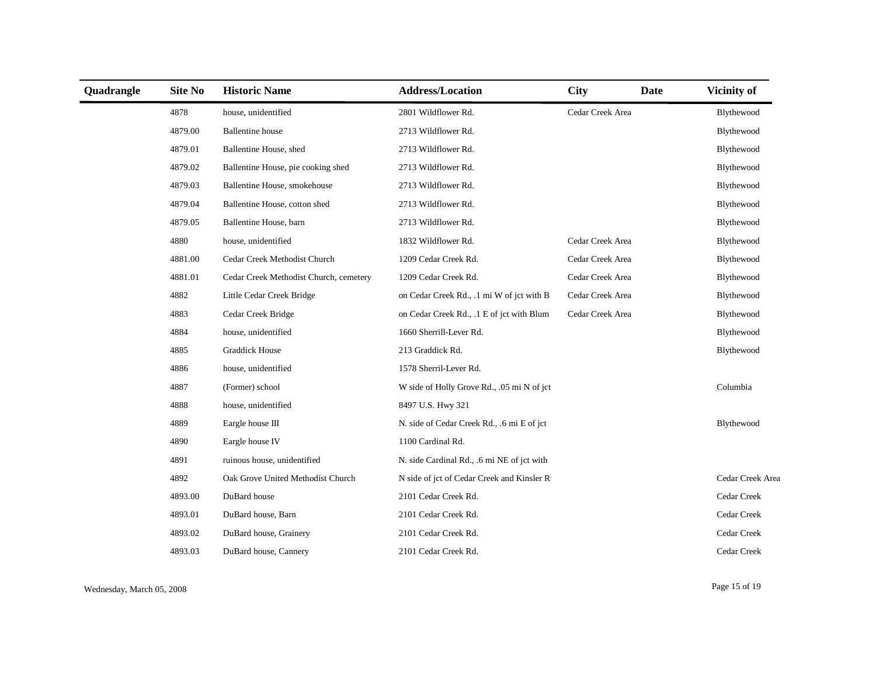| Quadrangle | Site No | <b>Historic Name</b>                   | <b>Address/Location</b>                    | <b>City</b>      | <b>Date</b> | Vicinity of      |
|------------|---------|----------------------------------------|--------------------------------------------|------------------|-------------|------------------|
|            | 4878    | house, unidentified                    | 2801 Wildflower Rd.                        | Cedar Creek Area |             | Blythewood       |
|            | 4879.00 | <b>Ballentine</b> house                | 2713 Wildflower Rd.                        |                  |             | Blythewood       |
|            | 4879.01 | Ballentine House, shed                 | 2713 Wildflower Rd.                        |                  |             | Blythewood       |
|            | 4879.02 | Ballentine House, pie cooking shed     | 2713 Wildflower Rd.                        |                  |             | Blythewood       |
|            | 4879.03 | Ballentine House, smokehouse           | 2713 Wildflower Rd.                        |                  |             | Blythewood       |
|            | 4879.04 | Ballentine House, cotton shed          | 2713 Wildflower Rd.                        |                  |             | Blythewood       |
|            | 4879.05 | Ballentine House, barn                 | 2713 Wildflower Rd.                        |                  |             | Blythewood       |
|            | 4880    | house, unidentified                    | 1832 Wildflower Rd.                        | Cedar Creek Area |             | Blythewood       |
|            | 4881.00 | Cedar Creek Methodist Church           | 1209 Cedar Creek Rd.                       | Cedar Creek Area |             | Blythewood       |
|            | 4881.01 | Cedar Creek Methodist Church, cemetery | 1209 Cedar Creek Rd.                       | Cedar Creek Area |             | Blythewood       |
|            | 4882    | Little Cedar Creek Bridge              | on Cedar Creek Rd., .1 mi W of jct with B  | Cedar Creek Area |             | Blythewood       |
|            | 4883    | Cedar Creek Bridge                     | on Cedar Creek Rd., .1 E of jct with Blum  | Cedar Creek Area |             | Blythewood       |
|            | 4884    | house, unidentified                    | 1660 Sherrill-Lever Rd.                    |                  |             | Blythewood       |
|            | 4885    | <b>Graddick House</b>                  | 213 Graddick Rd.                           |                  |             | Blythewood       |
|            | 4886    | house, unidentified                    | 1578 Sherril-Lever Rd.                     |                  |             |                  |
|            | 4887    | (Former) school                        | W side of Holly Grove Rd., .05 mi N of jct |                  |             | Columbia         |
|            | 4888    | house, unidentified                    | 8497 U.S. Hwy 321                          |                  |             |                  |
|            | 4889    | Eargle house III                       | N. side of Cedar Creek Rd., .6 mi E of jct |                  |             | Blythewood       |
|            | 4890    | Eargle house IV                        | 1100 Cardinal Rd.                          |                  |             |                  |
|            | 4891    | ruinous house, unidentified            | N. side Cardinal Rd., .6 mi NE of jct with |                  |             |                  |
|            | 4892    | Oak Grove United Methodist Church      | N side of jct of Cedar Creek and Kinsler R |                  |             | Cedar Creek Area |
|            | 4893.00 | DuBard house                           | 2101 Cedar Creek Rd.                       |                  |             | Cedar Creek      |
|            | 4893.01 | DuBard house, Barn                     | 2101 Cedar Creek Rd.                       |                  |             | Cedar Creek      |
|            | 4893.02 | DuBard house, Grainery                 | 2101 Cedar Creek Rd.                       |                  |             | Cedar Creek      |
|            | 4893.03 | DuBard house, Cannery                  | 2101 Cedar Creek Rd.                       |                  |             | Cedar Creek      |

Wednesday, March 05, 2008 Page 15 of 19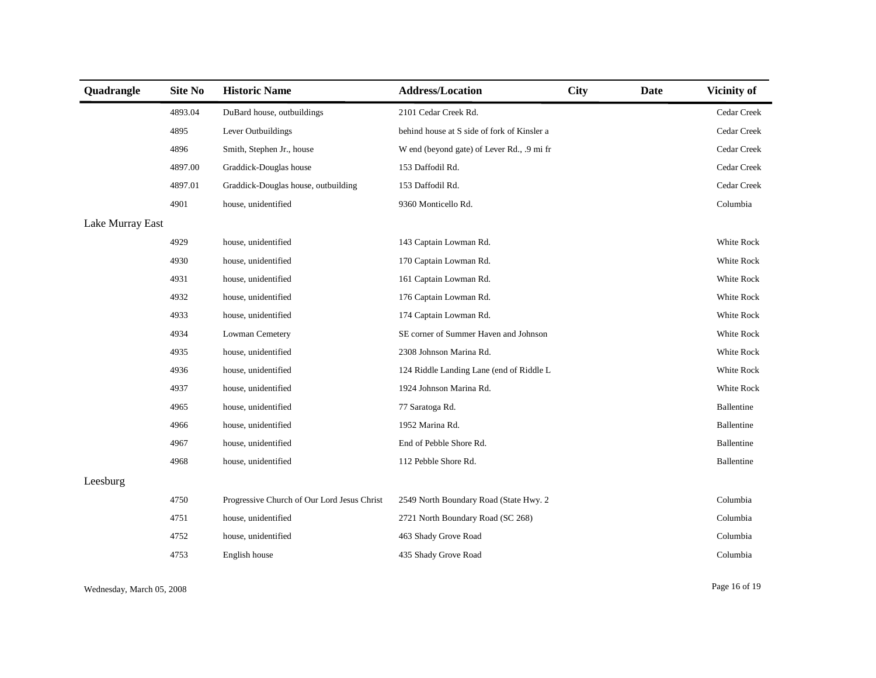| Quadrangle       | <b>Site No</b> | <b>Historic Name</b>                        | <b>Address/Location</b>                     | <b>City</b> | Date | <b>Vicinity of</b> |
|------------------|----------------|---------------------------------------------|---------------------------------------------|-------------|------|--------------------|
|                  | 4893.04        | DuBard house, outbuildings                  | 2101 Cedar Creek Rd.                        |             |      | Cedar Creek        |
|                  | 4895           | Lever Outbuildings                          | behind house at S side of fork of Kinsler a |             |      | Cedar Creek        |
|                  | 4896           | Smith, Stephen Jr., house                   | W end (beyond gate) of Lever Rd., .9 mi fr  |             |      | Cedar Creek        |
|                  | 4897.00        | Graddick-Douglas house                      | 153 Daffodil Rd.                            |             |      | Cedar Creek        |
|                  | 4897.01        | Graddick-Douglas house, outbuilding         | 153 Daffodil Rd.                            |             |      | Cedar Creek        |
|                  | 4901           | house, unidentified                         | 9360 Monticello Rd.                         |             |      | Columbia           |
| Lake Murray East |                |                                             |                                             |             |      |                    |
|                  | 4929           | house, unidentified                         | 143 Captain Lowman Rd.                      |             |      | White Rock         |
|                  | 4930           | house, unidentified                         | 170 Captain Lowman Rd.                      |             |      | White Rock         |
|                  | 4931           | house, unidentified                         | 161 Captain Lowman Rd.                      |             |      | White Rock         |
|                  | 4932           | house, unidentified                         | 176 Captain Lowman Rd.                      |             |      | White Rock         |
|                  | 4933           | house, unidentified                         | 174 Captain Lowman Rd.                      |             |      | White Rock         |
|                  | 4934           | Lowman Cemetery                             | SE corner of Summer Haven and Johnson       |             |      | White Rock         |
|                  | 4935           | house, unidentified                         | 2308 Johnson Marina Rd.                     |             |      | White Rock         |
|                  | 4936           | house, unidentified                         | 124 Riddle Landing Lane (end of Riddle L    |             |      | White Rock         |
|                  | 4937           | house, unidentified                         | 1924 Johnson Marina Rd.                     |             |      | White Rock         |
|                  | 4965           | house, unidentified                         | 77 Saratoga Rd.                             |             |      | Ballentine         |
|                  | 4966           | house, unidentified                         | 1952 Marina Rd.                             |             |      | Ballentine         |
|                  | 4967           | house, unidentified                         | End of Pebble Shore Rd.                     |             |      | Ballentine         |
|                  | 4968           | house, unidentified                         | 112 Pebble Shore Rd.                        |             |      | Ballentine         |
| Leesburg         |                |                                             |                                             |             |      |                    |
|                  | 4750           | Progressive Church of Our Lord Jesus Christ | 2549 North Boundary Road (State Hwy. 2      |             |      | Columbia           |
|                  | 4751           | house, unidentified                         | 2721 North Boundary Road (SC 268)           |             |      | Columbia           |
|                  | 4752           | house, unidentified                         | 463 Shady Grove Road                        |             |      | Columbia           |
|                  | 4753           | English house                               | 435 Shady Grove Road                        |             |      | Columbia           |
|                  |                |                                             |                                             |             |      |                    |

Wednesday, March 05, 2008 Page 16 of 19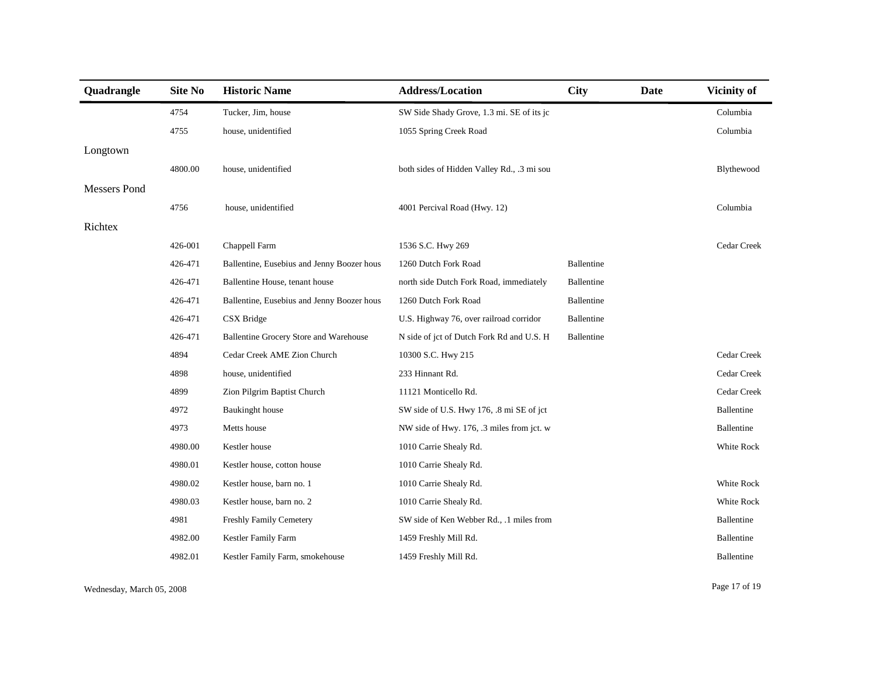| Quadrangle          | <b>Site No</b> | <b>Historic Name</b>                       | <b>Address/Location</b>                    | <b>City</b> | <b>Date</b> | Vicinity of       |
|---------------------|----------------|--------------------------------------------|--------------------------------------------|-------------|-------------|-------------------|
|                     | 4754           | Tucker, Jim, house                         | SW Side Shady Grove, 1.3 mi. SE of its jc  |             |             | Columbia          |
|                     | 4755           | house, unidentified                        | 1055 Spring Creek Road                     |             |             | Columbia          |
| Longtown            |                |                                            |                                            |             |             |                   |
|                     | 4800.00        | house, unidentified                        | both sides of Hidden Valley Rd., .3 mi sou |             |             | Blythewood        |
| <b>Messers Pond</b> |                |                                            |                                            |             |             |                   |
|                     | 4756           | house, unidentified                        | 4001 Percival Road (Hwy. 12)               |             |             | Columbia          |
| Richtex             |                |                                            |                                            |             |             |                   |
|                     | 426-001        | Chappell Farm                              | 1536 S.C. Hwy 269                          |             |             | Cedar Creek       |
|                     | 426-471        | Ballentine, Eusebius and Jenny Boozer hous | 1260 Dutch Fork Road                       | Ballentine  |             |                   |
|                     | 426-471        | Ballentine House, tenant house             | north side Dutch Fork Road, immediately    | Ballentine  |             |                   |
|                     | 426-471        | Ballentine, Eusebius and Jenny Boozer hous | 1260 Dutch Fork Road                       | Ballentine  |             |                   |
|                     | 426-471        | CSX Bridge                                 | U.S. Highway 76, over railroad corridor    | Ballentine  |             |                   |
|                     | 426-471        | Ballentine Grocery Store and Warehouse     | N side of jct of Dutch Fork Rd and U.S. H  | Ballentine  |             |                   |
|                     | 4894           | Cedar Creek AME Zion Church                | 10300 S.C. Hwy 215                         |             |             | Cedar Creek       |
|                     | 4898           | house, unidentified                        | 233 Hinnant Rd.                            |             |             | Cedar Creek       |
|                     | 4899           | Zion Pilgrim Baptist Church                | 11121 Monticello Rd.                       |             |             | Cedar Creek       |
|                     | 4972           | Baukinght house                            | SW side of U.S. Hwy 176, .8 mi SE of jct   |             |             | Ballentine        |
|                     | 4973           | Metts house                                | NW side of Hwy. 176, .3 miles from jct. w  |             |             | Ballentine        |
|                     | 4980.00        | Kestler house                              | 1010 Carrie Shealy Rd.                     |             |             | White Rock        |
|                     | 4980.01        | Kestler house, cotton house                | 1010 Carrie Shealy Rd.                     |             |             |                   |
|                     | 4980.02        | Kestler house, barn no. 1                  | 1010 Carrie Shealy Rd.                     |             |             | <b>White Rock</b> |
|                     | 4980.03        | Kestler house, barn no. 2                  | 1010 Carrie Shealy Rd.                     |             |             | White Rock        |
|                     | 4981           | Freshly Family Cemetery                    | SW side of Ken Webber Rd., .1 miles from   |             |             | Ballentine        |
|                     | 4982.00        | Kestler Family Farm                        | 1459 Freshly Mill Rd.                      |             |             | Ballentine        |
|                     | 4982.01        | Kestler Family Farm, smokehouse            | 1459 Freshly Mill Rd.                      |             |             | Ballentine        |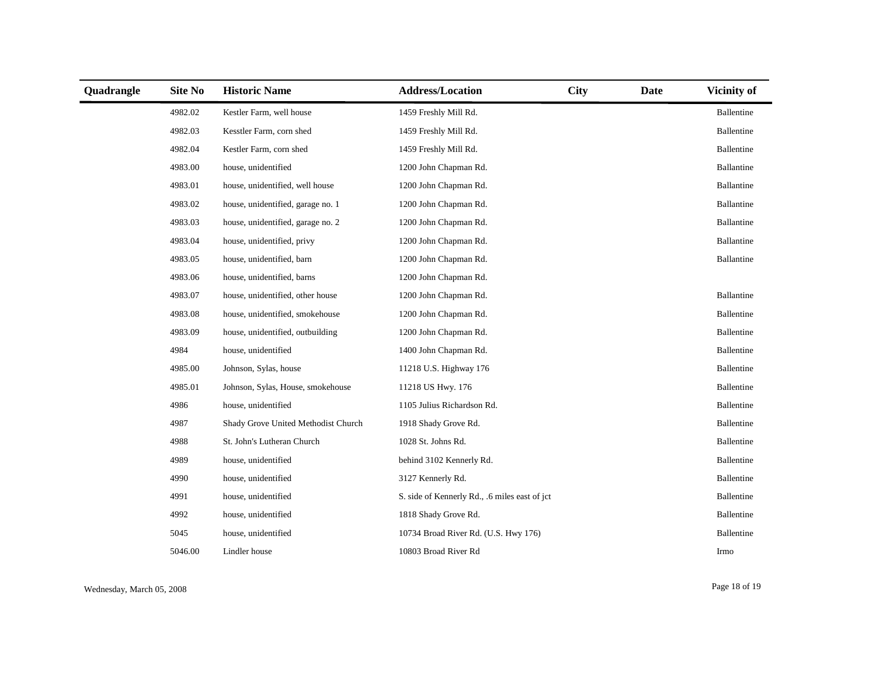| Quadrangle | Site No | <b>Historic Name</b>                | <b>Address/Location</b>                       | <b>City</b> | Date | <b>Vicinity of</b> |
|------------|---------|-------------------------------------|-----------------------------------------------|-------------|------|--------------------|
|            | 4982.02 | Kestler Farm, well house            | 1459 Freshly Mill Rd.                         |             |      | Ballentine         |
|            | 4982.03 | Kesstler Farm, corn shed            | 1459 Freshly Mill Rd.                         |             |      | Ballentine         |
|            | 4982.04 | Kestler Farm, corn shed             | 1459 Freshly Mill Rd.                         |             |      | Ballentine         |
|            | 4983.00 | house, unidentified                 | 1200 John Chapman Rd.                         |             |      | Ballantine         |
|            | 4983.01 | house, unidentified, well house     | 1200 John Chapman Rd.                         |             |      | Ballantine         |
|            | 4983.02 | house, unidentified, garage no. 1   | 1200 John Chapman Rd.                         |             |      | Ballantine         |
|            | 4983.03 | house, unidentified, garage no. 2   | 1200 John Chapman Rd.                         |             |      | Ballantine         |
|            | 4983.04 | house, unidentified, privy          | 1200 John Chapman Rd.                         |             |      | Ballantine         |
|            | 4983.05 | house, unidentified, barn           | 1200 John Chapman Rd.                         |             |      | Ballantine         |
|            | 4983.06 | house, unidentified, barns          | 1200 John Chapman Rd.                         |             |      |                    |
|            | 4983.07 | house, unidentified, other house    | 1200 John Chapman Rd.                         |             |      | Ballantine         |
|            | 4983.08 | house, unidentified, smokehouse     | 1200 John Chapman Rd.                         |             |      | Ballentine         |
|            | 4983.09 | house, unidentified, outbuilding    | 1200 John Chapman Rd.                         |             |      | Ballentine         |
|            | 4984    | house, unidentified                 | 1400 John Chapman Rd.                         |             |      | Ballentine         |
|            | 4985.00 | Johnson, Sylas, house               | 11218 U.S. Highway 176                        |             |      | Ballentine         |
|            | 4985.01 | Johnson, Sylas, House, smokehouse   | 11218 US Hwy. 176                             |             |      | Ballentine         |
|            | 4986    | house, unidentified                 | 1105 Julius Richardson Rd.                    |             |      | Ballentine         |
|            | 4987    | Shady Grove United Methodist Church | 1918 Shady Grove Rd.                          |             |      | Ballentine         |
|            | 4988    | St. John's Lutheran Church          | 1028 St. Johns Rd.                            |             |      | Ballentine         |
|            | 4989    | house, unidentified                 | behind 3102 Kennerly Rd.                      |             |      | Ballentine         |
|            | 4990    | house, unidentified                 | 3127 Kennerly Rd.                             |             |      | Ballentine         |
|            | 4991    | house, unidentified                 | S. side of Kennerly Rd., .6 miles east of jct |             |      | Ballentine         |
|            | 4992    | house, unidentified                 | 1818 Shady Grove Rd.                          |             |      | Ballentine         |
|            | 5045    | house, unidentified                 | 10734 Broad River Rd. (U.S. Hwy 176)          |             |      | Ballentine         |
|            | 5046.00 | Lindler house                       | 10803 Broad River Rd                          |             |      | Irmo               |